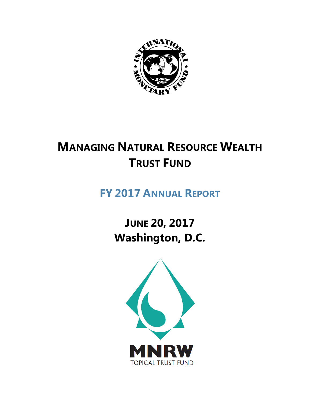

# **MANAGING NATURAL RESOURCE WEALTH TRUST FUND**

# **FY 2017 ANNUAL REPORT**

**JUNE 20, 2017 Washington, D.C.**

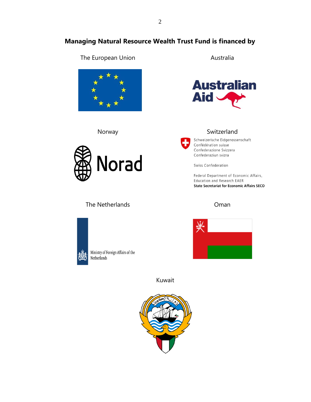## **Managing Natural Resource Wealth Trust Fund is financed by**

## The European Union **Australia**





## The Netherlands



Ministry of Foreign Affairs of the Netherlands



### Norway Switzerland



Schweizerische Eidgenossenschaft Confédération suisse Confederazione Svizzera Confederaziun svizra

Swiss Confederation

Federal Department of Economic Affairs, Education and Research EAER **State Secretariat for Economic Affairs SECO** 

#### Oman



Kuwait

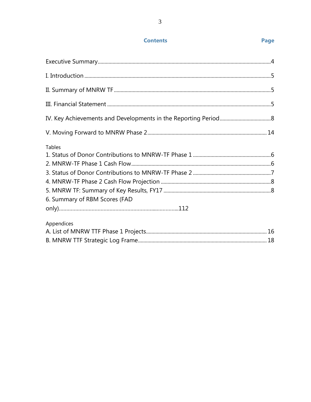## **Contents**

| <b>Tables</b><br>6. Summary of RBM Scores (FAD |  |
|------------------------------------------------|--|
| Appendices                                     |  |
|                                                |  |

## Page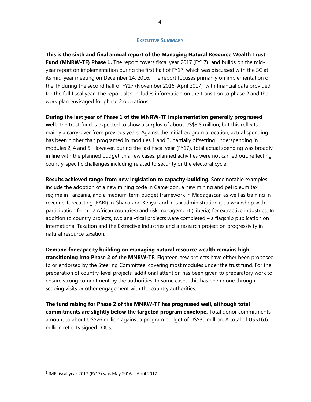#### **EXECUTIVE SUMMARY**

**This is the sixth and final annual report of the Managing Natural Resource Wealth Trust Fund (MNRW-TF) Phase 1.** The report covers fiscal year 2017 (FY17)<sup>1</sup> and builds on the midyear report on implementation during the first half of FY17, which was discussed with the SC at its mid-year meeting on December 14, 2016. The report focuses primarily on implementation of the TF during the second half of FY17 (November 2016–April 2017), with financial data provided for the full fiscal year. The report also includes information on the transition to phase 2 and the work plan envisaged for phase 2 operations.

#### **During the last year of Phase 1 of the MNRW-TF implementation generally progressed**

**well.** The trust fund is expected to show a surplus of about US\$3.8 million, but this reflects mainly a carry-over from previous years. Against the initial program allocation, actual spending has been higher than programed in modules 1 and 3, partially offsetting underspending in modules 2, 4 and 5. However, during the last fiscal year (FY17), total actual spending was broadly in line with the planned budget. In a few cases, planned activities were not carried out, reflecting country-specific challenges including related to security or the electoral cycle.

**Results achieved range from new legislation to capacity-building.** Some notable examples include the adoption of a new mining code in Cameroon, a new mining and petroleum tax regime in Tanzania, and a medium-term budget framework in Madagascar, as well as training in revenue-forecasting (FARI) in Ghana and Kenya, and in tax administration (at a workshop with participation from 12 African countries) and risk management (Liberia) for extractive industries. In addition to country projects, two analytical projects were completed – a flagship publication on International Taxation and the Extractive Industries and a research project on progressivity in natural resource taxation.

**Demand for capacity building on managing natural resource wealth remains high, transitioning into Phase 2 of the MNRW-TF.** Eighteen new projects have either been proposed to or endorsed by the Steering Committee, covering most modules under the trust fund. For the preparation of country-level projects, additional attention has been given to preparatory work to ensure strong commitment by the authorities. In some cases, this has been done through scoping visits or other engagement with the country authorities.

**The fund raising for Phase 2 of the MNRW-TF has progressed well, although total commitments are slightly below the targeted program envelope.** Total donor commitments amount to about US\$26 million against a program budget of US\$30 million. A total of US\$16.6 million reflects signed LOUs.

 $\overline{a}$ 

<sup>1</sup> IMF fiscal year 2017 (FY17) was May 2016 – April 2017.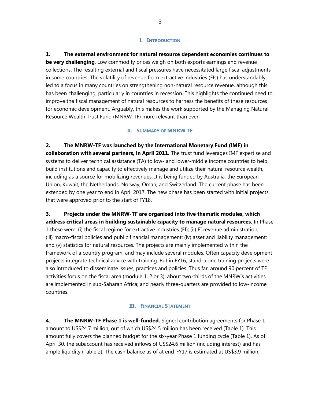#### **I. INTRODUCTION**

**1. The external environment for natural resource dependent economies continues to be very challenging**. Low commodity prices weigh on both exports earnings and revenue collections. The resulting external and fiscal pressures have necessitated large fiscal adjustments in some countries. The volatility of revenue from extractive industries (EIs) has understandably led to a focus in many countries on strengthening non-natural resource revenue, although this has been challenging, particularly in countries in recession. This highlights the continued need to improve the fiscal management of natural resources to harness the benefits of these resources for economic development. Arguably, this makes the work supported by the Managing Natural Resource Wealth Trust Fund (MNRW-TF) more relevant than ever.

#### **II. SUMMARY OF MNRW TF**

**2. The MNRW-TF was launched by the International Monetary Fund (IMF) in collaboration with several partners, in April 2011.** The trust fund leverages IMF expertise and systems to deliver technical assistance (TA) to low- and lower-middle income countries to help build institutions and capacity to effectively manage and utilize their natural resource wealth, including as a source for mobilizing revenues. It is being funded by Australia, the European Union, Kuwait, the Netherlands, Norway, Oman, and Switzerland. The current phase has been extended by one year to end in April 2017. The new phase has been started with initial projects that were approved prior to the start of FY18.

**3. Projects under the MNRW-TF are organized into five thematic modules, which address critical areas in building sustainable capacity to manage natural resources.** In Phase 1 these were: (i) the fiscal regime for extractive industries (EI); (ii) EI revenue administration; (iii) macro-fiscal policies and public financial management; (iv) asset and liability management; and (v) statistics for natural resources. The projects are mainly implemented within the framework of a country program, and may include several modules. Often capacity development projects integrate technical advice with training. But in FY16, stand-alone training projects were also introduced to disseminate issues, practices and policies. Thus far, around 90 percent of TF activities focus on the fiscal area (module 1, 2 or 3); about two-thirds of the MNRW's activities are implemented in sub-Saharan Africa; and nearly three-quarters are provided to low-income countries.

#### **III. FINANCIAL STATEMENT**

**4. The MNRW-TF Phase 1 is well-funded.** Signed contribution agreements for Phase 1 amount to US\$24.7 million, out of which US\$24.5 million has been received (Table 1). This amount fully covers the planned budget for the six-year Phase 1 funding cycle (Table 1). As of April 30, the subaccount has received inflows of US\$24.6 million (including interest) and has ample liquidity (Table 2). The cash balance as of at end-FY17 is estimated at US\$3.9 million.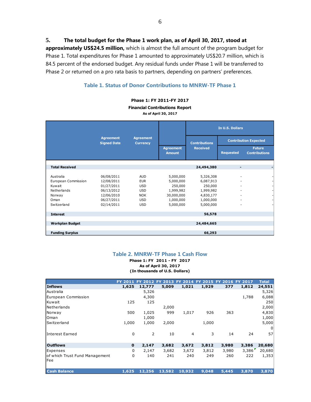**5. The total budget for the Phase 1 work plan, as of April 30, 2017, stood at** 

**approximately US\$24.5 million,** which is almost the full amount of the program budget for Phase 1. Total expenditures for Phase 1 amounted to approximately US\$20.7 million, which is 84.5 percent of the endorsed budget. Any residual funds under Phase 1 will be transferred to Phase 2 or returned on a pro rata basis to partners, depending on partners' preferences.

#### **Table 1. Status of Donor Contributions to MNRW-TF Phase 1**

**Phase 1: FY 2011-FY 2017**

**Financial Contributions Report**

**As of April 30, 2017**

|                                                                                            |                                                                                                |                                                                                                |                                                                                        | In U.S. Dollars                                                                       |                  |                                       |
|--------------------------------------------------------------------------------------------|------------------------------------------------------------------------------------------------|------------------------------------------------------------------------------------------------|----------------------------------------------------------------------------------------|---------------------------------------------------------------------------------------|------------------|---------------------------------------|
|                                                                                            | <b>Agreement</b><br><b>Signed Date</b>                                                         | <b>Agreement</b><br><b>Currency</b>                                                            |                                                                                        | <b>Contributions</b>                                                                  |                  | <b>Contribution Expected</b>          |
|                                                                                            |                                                                                                |                                                                                                | <b>Agreement</b><br><b>Amount</b>                                                      | <b>Received</b>                                                                       | <b>Requested</b> | <b>Future</b><br><b>Contributions</b> |
| <b>Total Received</b>                                                                      |                                                                                                |                                                                                                |                                                                                        | 24,494,380                                                                            | -                |                                       |
| Australia<br>European Commission<br>Kuwait<br>Netherlands<br>Norway<br>Oman<br>Switzerland | 06/08/2011<br>12/08/2011<br>01/27/2011<br>06/13/2012<br>12/06/2010<br>06/27/2011<br>02/14/2011 | <b>AUD</b><br><b>EUR</b><br><b>USD</b><br><b>USD</b><br><b>NOK</b><br><b>USD</b><br><b>USD</b> | 5,000,000<br>5,000,000<br>250,000<br>1,999,982<br>30,000,000<br>1,000,000<br>5,000,000 | 5,326,308<br>6,087,913<br>250,000<br>1,999,982<br>4,830,177<br>1,000,000<br>5,000,000 |                  |                                       |
| <b>Interest</b>                                                                            |                                                                                                |                                                                                                |                                                                                        | 56,578                                                                                |                  |                                       |
| <b>Workplan Budget</b>                                                                     |                                                                                                |                                                                                                |                                                                                        | 24,484,665                                                                            |                  |                                       |
| <b>Funding Surplus</b>                                                                     |                                                                                                |                                                                                                |                                                                                        | 66,293                                                                                |                  |                                       |

#### **Table 2. MNRW-TF Phase 1 Cash Flow**

**(In thousands of U.S. Dollars) As of April 30, 2017 Phase 1: FY 2011 - FY 2017**

|                                |             | FY 2011 FY 2012 FY 2013 FY |        | 2014           | <b>FY</b> | 2015 FY 2016 FY 2017 |        | <b>Total</b> |
|--------------------------------|-------------|----------------------------|--------|----------------|-----------|----------------------|--------|--------------|
| <b>Inflows</b>                 | 1,625       | 12,777                     | 5,009  | 1,021          | 1,929     | 377                  | 1,812  | 24,551       |
| Australia                      |             | 5,326                      |        |                |           |                      |        | 5,326        |
| European Commission            |             | 4,300                      |        |                |           |                      | 1,788  | 6,088        |
| Kuwait                         | 125         | 125                        |        |                |           |                      |        | 250          |
| Netherlands                    |             |                            | 2,000  |                |           |                      |        | 2,000        |
| Norway                         | 500         | 1,025                      | 999    | 1,017          | 926       | 363                  |        | 4,830        |
| Oman                           |             | 1,000                      |        |                |           |                      |        | 1,000        |
| Switzerland                    | 1,000       | 1,000                      | 2,000  |                | 1,000     |                      |        | 5,000        |
|                                |             |                            |        |                |           |                      |        | 0            |
| lInterest Earned               | 0           | $\overline{2}$             | 10     | $\overline{4}$ | 3         | 14                   | 24     | 57           |
| <b>Outflows</b>                | $\mathbf 0$ | 2,147                      | 3,682  | 3,672          | 3,812     | 3,980                | 3,386  | 20,680       |
| Expenses                       | 0           | 2,147                      | 3,682  | 3,672          | 3,812     | 3,980                | 3.386' | 20,680       |
| of which Trust Fund Management | 0           | 140                        | 241    | 240            | 249       | 260                  | 222    | 1,353        |
| Fee                            |             |                            |        |                |           |                      |        |              |
| <b>Cash Balance</b>            | 1,625       | 12,256                     | 13,582 | 10,932         | 9,048     | 5,445                | 3,870  | 3,870        |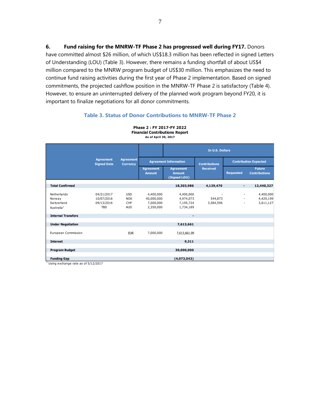**6. Fund raising for the MNRW-TF Phase 2 has progressed well during FY17.** Donors have committed almost \$26 million, of which US\$18.3 million has been reflected in signed Letters of Understanding (LOU) (Table 3). However, there remains a funding shortfall of about US\$4 million compared to the MNRW program budget of US\$30 million. This emphasizes the need to continue fund raising activities during the first year of Phase 2 implementation. Based on signed commitments, the projected cashflow position in the MNRW-TF Phase 2 is satisfactory (Table 4). However, to ensure an uninterrupted delivery of the planned work program beyond FY20, it is important to finalize negotiations for all donor commitments.

#### **Table 3. Status of Donor Contributions to MNRW-TF Phase 2**

|                                                                |                                                      |                                               | As of April 30, 2017                              |                                                   |                      |                                              |                                       |
|----------------------------------------------------------------|------------------------------------------------------|-----------------------------------------------|---------------------------------------------------|---------------------------------------------------|----------------------|----------------------------------------------|---------------------------------------|
|                                                                |                                                      |                                               |                                                   |                                                   | In U.S. Dollars      |                                              |                                       |
|                                                                | <b>Agreement</b><br><b>Signed Date</b>               | <b>Agreement</b><br><b>Currency</b>           |                                                   | <b>Agreement Information</b>                      | <b>Contributions</b> |                                              | <b>Contribution Expected</b>          |
|                                                                |                                                      |                                               | <b>Agreement</b><br><b>Amount</b>                 | <b>Agreement</b><br><b>Amount</b><br>(Signed LOU) | <b>Received</b>      | <b>Requested</b>                             | <b>Future</b><br><b>Contributions</b> |
| <b>Total Confirmed</b>                                         |                                                      |                                               |                                                   | 18,303,986                                        | 4,129,470            | $\overline{\phantom{a}}$                     | 12,440,327                            |
| Netherlands<br>Norway<br>Switzerland<br>Australia <sup>1</sup> | 04/21/2017<br>10/07/2016<br>09/13/2016<br><b>TBD</b> | <b>USD</b><br><b>NOK</b><br>CHF<br><b>AUD</b> | 4,400,000<br>40,000,000<br>7,000,000<br>2,350,000 | 4,400,000<br>4,974,073<br>7,195,724<br>1,734,189  | 544,873<br>3,584,596 | $\sim$<br>$\sim$<br>$\overline{\phantom{a}}$ | 4,400,000<br>4,429,199<br>3,611,127   |
| <b>Internal Transfers</b>                                      |                                                      |                                               |                                                   | $\blacksquare$                                    |                      |                                              |                                       |
| <b>Under Negotiation</b>                                       |                                                      |                                               |                                                   | 7,613,661                                         |                      |                                              |                                       |
| European Commission                                            |                                                      | <b>EUR</b>                                    | 7,000,000                                         | 7,613,661.09                                      |                      |                                              |                                       |
| <b>Interest</b>                                                |                                                      |                                               |                                                   | 9,311                                             |                      |                                              |                                       |
| <b>Program Budget</b>                                          |                                                      |                                               |                                                   | 30,000,000                                        |                      |                                              |                                       |
| <b>Funding Gap</b>                                             |                                                      |                                               |                                                   | (4,073,042)                                       |                      |                                              |                                       |

**Phase 2 : FY 2017-FY 2022 Financial Contributions Report**

 $<sup>1</sup>$  Using exchange rate as of 5/12/2017</sup>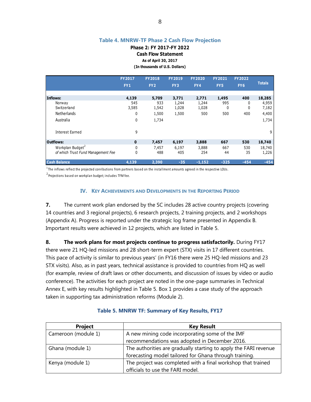#### **Table 4. MNRW-TF Phase 2 Cash Flow Projection**

**Phase 2: FY 2017-FY 2022**

**Cash Flow Statement**

**As of April 30, 2017**

**(In thousands of U.S. Dollars)**

|                                    | <b>FY2017</b>   | <b>FY2018</b>   | <b>FY2019</b> | <b>FY2020</b> | <b>FY2021</b>   | <b>FY2022</b>   |               |
|------------------------------------|-----------------|-----------------|---------------|---------------|-----------------|-----------------|---------------|
|                                    | FY <sub>1</sub> | FY <sub>2</sub> | FY3           | FY4           | FY <sub>5</sub> | FY <sub>6</sub> | <b>Totals</b> |
|                                    |                 |                 |               |               |                 |                 |               |
| Inflows:                           | 4,139           | 5,709           | 3,771         | 2,771         | 1,495           | 400             | 18,285        |
| Norway                             | 545             | 933             | 1,244         | 1,244         | 995             | 0               | 4,959         |
| Switzerland                        | 3,585           | 1,542           | 1,028         | 1,028         | 0               | 0               | 7,182         |
| Netherlands                        | 0               | 1,500           | 1,500         | 500           | 500             | 400             | 4,400         |
| Australia                          | 0               | 1,734           |               |               |                 |                 | 1,734         |
| <b>Interest Earned</b>             | 9               |                 |               |               |                 |                 | 9             |
| <b>Outflows:</b>                   | $\mathbf 0$     | 7,457           | 6,197         | 3,888         | 667             | 530             | 18,740        |
| Workplan Budget <sup>2</sup>       | 0               | 7,457           | 6,197         | 3,888         | 667             | 530             | 18,740        |
| of which Trust Fund Management Fee | 0               | 488             | 405           | 254           | 44              | 35              | 1,226         |
| <b>Cash Balance</b>                | 4,139           | 2,390           | $-35$         | $-1,152$      | $-325$          | $-454$          | $-454$        |

 $1$ The inflows reflect the projected conributions from partners based on the installment amounts agreed in the respective LOUs.

<sup>2</sup> Projections based on workplan budget; includes TFM fee.

#### **IV. KEY ACHIEVEMENTS AND DEVELOPMENTS IN THE REPORTING PERIOD**

**7.** The current work plan endorsed by the SC includes 28 active country projects (covering 14 countries and 3 regional projects), 6 research projects, 2 training projects, and 2 workshops (Appendix A). Progress is reported under the strategic log frame presented in Appendix B. Important results were achieved in 12 projects, which are listed in Table 5.

**8. The work plans for most projects continue to progress satisfactorily.** During FY17 there were 21 HQ-led missions and 28 short-term expert (STX) visits in 17 different countries. This pace of activity is similar to previous years' (in FY16 there were 25 HQ-led missions and 23 STX visits). Also, as in past years, technical assistance is provided to countries from HQ as well (for example, review of draft laws or other documents, and discussion of issues by video or audio conference). The activities for each project are noted in the one-page summaries in Technical Annex E, with key results highlighted in Table 5. Box 1 provides a case study of the approach taken in supporting tax administration reforms (Module 2).

| <b>Project</b>      | <b>Key Result</b>                                                |
|---------------------|------------------------------------------------------------------|
| Cameroon (module 1) | A new mining code incorporating some of the IMF                  |
|                     | recommendations was adopted in December 2016.                    |
| Ghana (module 1)    | The authorities are gradually starting to apply the FARI revenue |
|                     | forecasting model tailored for Ghana through training.           |
| Kenya (module 1)    | The project was completed with a final workshop that trained     |
|                     | officials to use the FARI model.                                 |

#### **Table 5. MNRW TF: Summary of Key Results, FY17**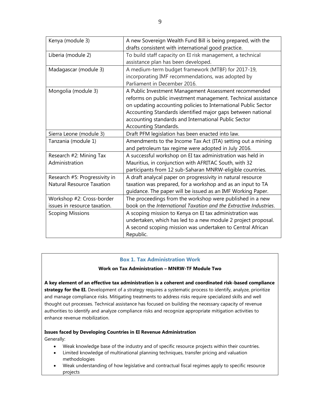| Kenya (module 3)                 | A new Sovereign Wealth Fund Bill is being prepared, with the      |
|----------------------------------|-------------------------------------------------------------------|
|                                  | drafts consistent with international good practice.               |
| Liberia (module 2)               | To build staff capacity on EI risk management, a technical        |
|                                  | assistance plan has been developed.                               |
| Madagascar (module 3)            | A medium-term budget framework (MTBF) for 2017-19,                |
|                                  | incorporating IMF recommendations, was adopted by                 |
|                                  | Parliament in December 2016.                                      |
| Mongolia (module 3)              | A Public Investment Management Assessment recommended             |
|                                  | reforms on public investment management. Technical assistance     |
|                                  | on updating accounting policies to International Public Sector    |
|                                  | Accounting Standards identified major gaps between national       |
|                                  | accounting standards and International Public Sector              |
|                                  | Accounting Standards.                                             |
| Sierra Leone (module 3)          | Draft PFM legislation has been enacted into law.                  |
| Tanzania (module 1)              | Amendments to the Income Tax Act (ITA) setting out a mining       |
|                                  | and petroleum tax regime were adopted in July 2016.               |
| Research #2: Mining Tax          | A successful workshop on EI tax administration was held in        |
| Administration                   | Mauritius, in conjunction with AFRITAC South, with 32             |
|                                  | participants from 12 sub-Saharan MNRW-eligible countries.         |
| Research #5: Progressivity in    | A draft analycal paper on progressivity in natural resource       |
| <b>Natural Resource Taxation</b> | taxation was prepared, for a workshop and as an input to TA       |
|                                  | guidance. The paper will be issued as an IMF Working Paper.       |
| Workshop #2: Cross-border        | The proceedings from the workshop were published in a new         |
| issues in resource taxation.     | book on the International Taxation and the Extractive Industries. |
| <b>Scoping Missions</b>          | A scoping mission to Kenya on EI tax administration was           |
|                                  | undertaken, which has led to a new module 2 project proposal.     |
|                                  | A second scoping mission was undertaken to Central African        |
|                                  | Republic.                                                         |

#### **Box 1. Tax Administration Work**

#### **Work on Tax Administration – MNRW-TF Module Two**

**A key element of an effective tax administration is a coherent and coordinated risk-based compliance strategy for the EI.** Development of a strategy requires a systematic process to identify, analyze, prioritize and manage compliance risks. Mitigating treatments to address risks require specialized skills and well thought out processes. Technical assistance has focused on building the necessary capacity of revenue authorities to identify and analyze compliance risks and recognize appropriate mitigation activities to enhance revenue mobilization.

#### **Issues faced by Developing Countries in EI Revenue Administration**

Generally:

- Weak knowledge base of the industry and of specific resource projects within their countries.
- Limited knowledge of multinational planning techniques, transfer pricing and valuation methodologies
- Weak understanding of how legislative and contractual fiscal regimes apply to specific resource projects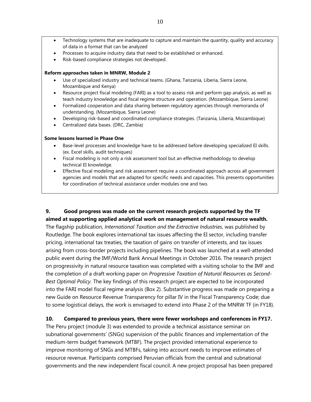- Technology systems that are inadequate to capture and maintain the quantity, quality and accuracy of data in a format that can be analyzed
- Processes to acquire industry data that need to be established or enhanced.
- Risk-based compliance strategies not developed.

#### **Reform approaches taken in MNRW, Module 2**

- Use of specialized industry and technical teams. (Ghana, Tanzania, Liberia, Sierra Leone, Mozambique and Kenya)
- Resource project fiscal modeling (FARI) as a tool to assess risk and perform gap analysis, as well as teach industry knowledge and fiscal regime structure and operation. (Mozambique, Sierra Leone)
- Formalized cooperation and data sharing between regulatory agencies through memoranda of understanding. (Mozambique, Sierra Leone)
- Developing risk-based and coordinated compliance strategies. (Tanzania, Liberia, Mozambique)
- Centralized data bases. (DRC, Zambia)

#### **Some lessons learned in Phase One**

- Base-level processes and knowledge have to be addressed before developing specialized EI skills. (ex. Excel skills, audit techniques)
- Fiscal modeling is not only a risk assessment tool but an effective methodology to develop technical EI knowledge.
- Effective fiscal modeling and risk assessment require a coordinated approach across all government agencies and models that are adapted for specific needs and capacities. This presents opportunities for coordination of technical assistance under modules one and two.

#### **9. Good progress was made on the current research projects supported by the TF aimed at supporting applied analytical work on management of natural resource wealth.**

The flagship publication, *International Taxation and the Extractive Industries*, was published by Routledge. The book explores international tax issues affecting the EI sector, including transfer pricing, international tax treaties, the taxation of gains on transfer of interests, and tax issues arising from cross-border projects including pipelines. The book was launched at a well-attended public event during the IMF/World Bank Annual Meetings in October 2016. The research project on progressivity in natural resource taxation was completed with a visiting scholar to the IMF and the completion of a draft working paper on *Progressive Taxation of Natural Resources as Second-Best Optimal Policy.* The key findings of this research project are expected to be incorporated into the FARI model fiscal regime analysis (Box 2). Substantive progress was made on preparing a new Guide on Resource Revenue Transparency for pillar IV in the Fiscal Transparency Code; due to some logistical delays, the work is envisaged to extend into Phase 2 of the MNRW TF (in FY18).

#### **10. Compared to previous years, there were fewer workshops and conferences in FY17.**

The Peru project (module 3) was extended to provide a technical assistance seminar on subnational governments' (SNGs) supervision of the public finances and implementation of the medium-term budget framework (MTBF). The project provided international experience to improve monitoring of SNGs and MTBFs, taking into account needs to improve estimates of resource revenue. Participants comprised Peruvian officials from the central and subnational governments and the new independent fiscal council. A new project proposal has been prepared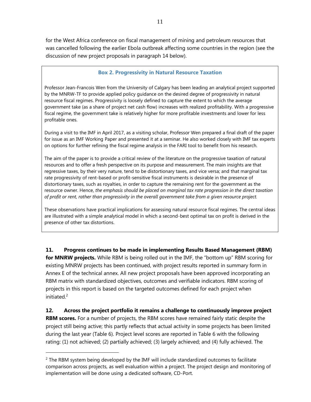for the West Africa conference on fiscal management of mining and petroleum resources that was cancelled following the earlier Ebola outbreak affecting some countries in the region (see the discussion of new project proposals in paragraph 14 below).

## **Box 2. Progressivity in Natural Resource Taxation**

Professor Jean-Francois Wen from the University of Calgary has been leading an analytical project supported by the MNRW-TF to provide applied policy guidance on the desired degree of progressivity in natural resource fiscal regimes. Progressivity is loosely defined to capture the extent to which the average government take (as a share of project net cash flow) increases with realized profitability. With a progressive fiscal regime, the government take is relatively higher for more profitable investments and lower for less profitable ones.

During a visit to the IMF in April 2017, as a visiting scholar, Professor Wen prepared a final draft of the paper for issue as an IMF Working Paper and presented it at a seminar. He also worked closely with IMF tax experts on options for further refining the fiscal regime analysis in the FARI tool to benefit from his research.

The aim of the paper is to provide a critical review of the literature on the progressive taxation of natural resources and to offer a fresh perspective on its purpose and measurement. The main insights are that regressive taxes, by their very nature, tend to be distortionary taxes, and vice versa; and that marginal tax rate progressivity of rent-based or profit-sensitive fiscal instruments is desirable in the presence of distortionary taxes, such as royalties, in order to capture the remaining rent for the government as the resource owner. Hence, *the emphasis should be placed on marginal tax rate progression in the direct taxation of profit or rent, rather than progressivity in the overall government take from a given resource project.* 

These observations have practical implications for assessing natural resource fiscal regimes. The central ideas are illustrated with a simple analytical model in which a second-best optimal tax on profit is derived in the presence of other tax distortions.

**11. Progress continues to be made in implementing Results Based Management (RBM) for MNRW projects.** While RBM is being rolled out in the IMF, the "bottom up" RBM scoring for existing MNRW projects has been continued, with project results reported in summary form in Annex E of the technical annex. All new project proposals have been approved incorporating an RBM matrix with standardized objectives, outcomes and verifiable indicators. RBM scoring of projects in this report is based on the targeted outcomes defined for each project when initiated. $2$ 

**12. Across the project portfolio it remains a challenge to continuously improve project RBM scores.** For a number of projects, the RBM scores have remained fairly static despite the project still being active; this partly reflects that actual activity in some projects has been limited during the last year (Table 6). Project level scores are reported in Table 6 with the following rating: (1) not achieved; (2) partially achieved; (3) largely achieved; and (4) fully achieved. The

 $\overline{a}$ 

 $2$  The RBM system being developed by the IMF will include standardized outcomes to facilitate comparison across projects, as well evaluation within a project. The project design and monitoring of implementation will be done using a dedicated software, CD-Port.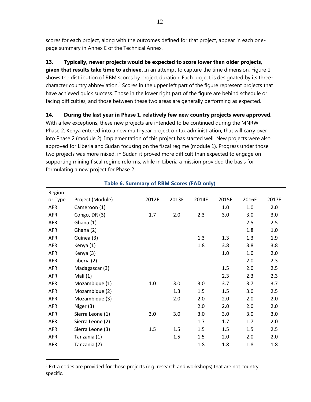scores for each project, along with the outcomes defined for that project, appear in each onepage summary in Annex E of the Technical Annex.

## **13. Typically, newer projects would be expected to score lower than older projects,**

**given that results take time to achieve.** In an attempt to capture the time dimension, Figure 1 shows the distribution of RBM scores by project duration. Each project is designated by its threecharacter country abbreviation.<sup>3</sup> Scores in the upper left part of the figure represent projects that have achieved quick success. Those in the lower right part of the figure are behind schedule or facing difficulties, and those between these two areas are generally performing as expected.

**14. During the last year in Phase 1, relatively few new country projects were approved.**  With a few exceptions, these new projects are intended to be continued during the MNRW Phase 2. Kenya entered into a new multi-year project on tax administration, that will carry over into Phase 2 (module 2). Implementation of this project has started well. New projects were also approved for Liberia and Sudan focusing on the fiscal regime (module 1). Progress under those two projects was more mixed: in Sudan it proved more difficult than expected to engage on supporting mining fiscal regime reforms, while in Liberia a mission provided the basis for formulating a new project for Phase 2.

| Region     |                  |         |       |       |         |         |       |
|------------|------------------|---------|-------|-------|---------|---------|-------|
| or Type    | Project (Module) | 2012E   | 2013E | 2014E | 2015E   | 2016E   | 2017E |
| <b>AFR</b> | Cameroon (1)     |         |       |       | 1.0     | 1.0     | 2.0   |
| AFR        | Congo, DR (3)    | 1.7     | 2.0   | 2.3   | 3.0     | 3.0     | 3.0   |
| AFR        | Ghana (1)        |         |       |       |         | 2.5     | 2.5   |
| AFR        | Ghana (2)        |         |       |       |         | 1.8     | 1.0   |
| <b>AFR</b> | Guinea (3)       |         |       | 1.3   | 1.3     | 1.3     | 1.9   |
| <b>AFR</b> | Kenya (1)        |         |       | 1.8   | 3.8     | 3.8     | 3.8   |
| AFR        | Kenya (3)        |         |       |       | $1.0\,$ | $1.0\,$ | 2.0   |
| <b>AFR</b> | Liberia (2)      |         |       |       |         | 2.0     | 2.3   |
| <b>AFR</b> | Madagascar (3)   |         |       |       | 1.5     | 2.0     | 2.5   |
| AFR        | Mali $(1)$       |         |       |       | 2.3     | 2.3     | 2.3   |
| AFR        | Mozambique (1)   | $1.0\,$ | 3.0   | 3.0   | 3.7     | 3.7     | 3.7   |
| AFR        | Mozambique (2)   |         | 1.3   | 1.5   | 1.5     | 3.0     | 2.5   |
| <b>AFR</b> | Mozambique (3)   |         | 2.0   | 2.0   | 2.0     | 2.0     | 2.0   |
| AFR        | Niger (3)        |         |       | 2.0   | 2.0     | 2.0     | 2.0   |
| AFR        | Sierra Leone (1) | 3.0     | 3.0   | 3.0   | 3.0     | 3.0     | 3.0   |
| AFR        | Sierra Leone (2) |         |       | 1.7   | 1.7     | 1.7     | 2.0   |
| AFR        | Sierra Leone (3) | 1.5     | 1.5   | 1.5   | 1.5     | 1.5     | 2.5   |
| <b>AFR</b> | Tanzania (1)     |         | 1.5   | 1.5   | 2.0     | 2.0     | 2.0   |
| <b>AFR</b> | Tanzania (2)     |         |       | 1.8   | 1.8     | 1.8     | 1.8   |
|            |                  |         |       |       |         |         |       |

### **Table 6. Summary of RBM Scores (FAD only)**

 $\overline{a}$ 

 $3$  Extra codes are provided for those projects (e.g. research and workshops) that are not country specific.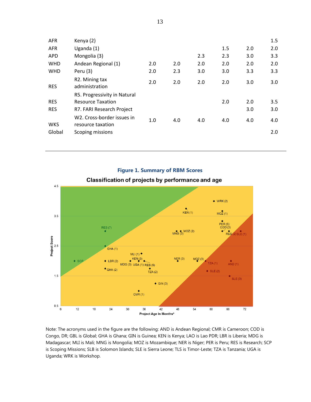| <b>AFR</b>               | Kenya (2)                                                                                                           |     |     |     |     |            | 1.5        |
|--------------------------|---------------------------------------------------------------------------------------------------------------------|-----|-----|-----|-----|------------|------------|
| <b>AFR</b>               | Uganda $(1)$                                                                                                        |     |     |     | 1.5 | 2.0        | 2.0        |
| <b>APD</b>               | Mongolia (3)                                                                                                        |     |     | 2.3 | 2.3 | 3.0        | 3.3        |
| <b>WHD</b>               | Andean Regional (1)                                                                                                 | 2.0 | 2.0 | 2.0 | 2.0 | 2.0        | 2.0        |
| <b>WHD</b>               | Peru (3)                                                                                                            | 2.0 | 2.3 | 3.0 | 3.0 | 3.3        | 3.3        |
| <b>RES</b>               | R2. Mining tax<br>administration                                                                                    | 2.0 | 2.0 | 2.0 | 2.0 | 3.0        | 3.0        |
| <b>RES</b><br><b>RES</b> | R5. Progressivity in Natural<br><b>Resource Taxation</b><br>R7. FARI Research Project<br>W2. Cross-border issues in |     |     |     | 2.0 | 2.0<br>3.0 | 3.5<br>3.0 |
| <b>WKS</b>               | resource taxation                                                                                                   | 1.0 | 4.0 | 4.0 | 4.0 | 4.0        | 4.0        |
| Global                   | Scoping missions                                                                                                    |     |     |     |     |            | 2.0        |

#### **Figure 1. Summary of RBM Scores** Classification of projects by performance and age  $4.5$  $\blacklozenge$  WRK(2)  $KEN(1)$  $MO<sup>2</sup>(1)$  $3.5$  $\begin{array}{c}\n\blacklozenge \\
PER(5) \\
COD(3)\n\end{array}$  $RES(7)$  $RES(2) SLE(1)$  $MNG(3)$  MOZ(2) Project Score<br>Poject Score GHA (1)  $MLI(1)$ MDG (3) UGA (1) RES (5)  $NER(3)$  $MQZ(3)$  $\blacklozenge$  LBR(2)  $TZA(1)$  $AND(1)$  $TZA(2)$  $\bullet$  GHA(2)  $\bullet$  SLE(2)  $1.5$  $SLE(3)$  $\triangleleft$  GIN(3)  $CMR(1)$  $0.5$  $\overline{54}$  $\overline{72}$ 6  $12\,$ 18  $24\,$  $30\,$ 36  $42$ 48 60 66 Project Age In Months\*

Note: The acronyms used in the figure are the following: AND is Andean Regional; CMR is Cameroon; COD is Congo, DR; GBL is Global; GHA is Ghana; GIN is Guinea; KEN is Kenya; LAO is Lao PDR; LBR is Liberia; MDG is Madagascar; MLI is Mali; MNG is Mongolia; MOZ is Mozambique; NER is Niger; PER is Peru; RES is Research; SCP is Scoping Missions; SLB is Solomon Islands; SLE is Sierra Leone; TLS is Timor-Leste; TZA is Tanzania; UGA is Uganda; WRK is Workshop.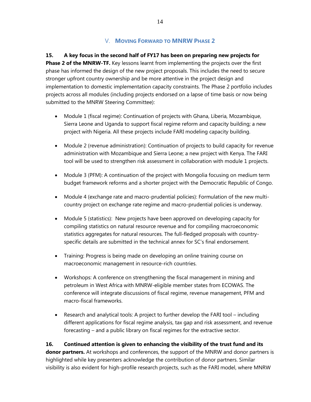## V. **MOVING FORWARD TO MNRW PHASE 2**

**15. A key focus in the second half of FY17 has been on preparing new projects for Phase 2 of the MNRW-TF.** Key lessons learnt from implementing the projects over the first phase has informed the design of the new project proposals. This includes the need to secure stronger upfront country ownership and be more attentive in the project design and implementation to domestic implementation capacity constraints. The Phase 2 portfolio includes projects across all modules (including projects endorsed on a lapse of time basis or now being submitted to the MNRW Steering Committee):

- Module 1 (fiscal regime): Continuation of projects with Ghana, Liberia, Mozambique, Sierra Leone and Uganda to support fiscal regime reform and capacity building; a new project with Nigeria. All these projects include FARI modeling capacity building.
- Module 2 (revenue administration): Continuation of projects to build capacity for revenue administration with Mozambique and Sierra Leone; a new project with Kenya. The FARI tool will be used to strengthen risk assessment in collaboration with module 1 projects.
- Module 3 (PFM): A continuation of the project with Mongolia focusing on medium term budget framework reforms and a shorter project with the Democratic Republic of Congo.
- Module 4 (exchange rate and macro-prudential policies): Formulation of the new multicountry project on exchange rate regime and macro-prudential policies is underway.
- Module 5 (statistics): New projects have been approved on developing capacity for compiling statistics on natural resource revenue and for compiling macroeconomic statistics aggregates for natural resources. The full-fledged proposals with countryspecific details are submitted in the technical annex for SC's final endorsement.
- Training: Progress is being made on developing an online training course on macroeconomic management in resource-rich countries.
- Workshops: A conference on strengthening the fiscal management in mining and petroleum in West Africa with MNRW-eligible member states from ECOWAS. The conference will integrate discussions of fiscal regime, revenue management, PFM and macro-fiscal frameworks.
- Research and analytical tools: A project to further develop the FARI tool including different applications for fiscal regime analysis, tax gap and risk assessment, and revenue forecasting – and a public library on fiscal regimes for the extractive sector.

## **16. Continued attention is given to enhancing the visibility of the trust fund and its**

**donor partners.** At workshops and conferences, the support of the MNRW and donor partners is highlighted while key presenters acknowledge the contribution of donor partners. Similar visibility is also evident for high-profile research projects, such as the FARI model, where MNRW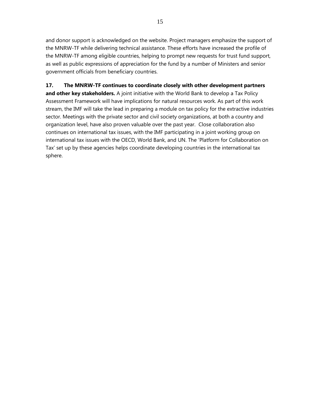and donor support is acknowledged on the website. Project managers emphasize the support of the MNRW-TF while delivering technical assistance. These efforts have increased the profile of the MNRW-TF among eligible countries, helping to prompt new requests for trust fund support, as well as public expressions of appreciation for the fund by a number of Ministers and senior government officials from beneficiary countries.

## **17. The MNRW-TF continues to coordinate closely with other development partners**

**and other key stakeholders.** A joint initiative with the World Bank to develop a Tax Policy Assessment Framework will have implications for natural resources work. As part of this work stream, the IMF will take the lead in preparing a module on tax policy for the extractive industries sector. Meetings with the private sector and civil society organizations, at both a country and organization level, have also proven valuable over the past year. Close collaboration also continues on international tax issues, with the IMF participating in a joint working group on international tax issues with the OECD, World Bank, and UN. The 'Platform for Collaboration on Tax' set up by these agencies helps coordinate developing countries in the international tax sphere.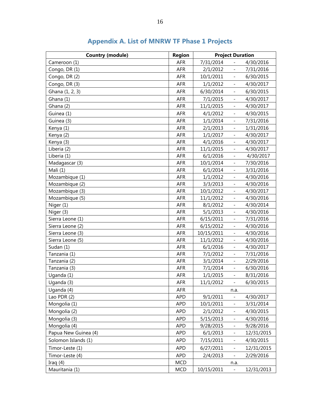| <b>Country (module)</b> | <b>Region</b> | <b>Project Duration</b> |                          |            |
|-------------------------|---------------|-------------------------|--------------------------|------------|
| Cameroon (1)            | AFR           | 7/31/2014               | $\overline{\phantom{0}}$ | 4/30/2016  |
| Congo, DR (1)           | <b>AFR</b>    | 2/1/2012                | $\qquad \qquad -$        | 7/31/2016  |
| Congo, DR (2)           | AFR           | 10/1/2011               | $\overline{\phantom{0}}$ | 6/30/2015  |
| Congo, DR (3)           | <b>AFR</b>    | 1/1/2012                | $\overline{\phantom{0}}$ | 4/30/2017  |
| Ghana (1, 2, 3)         | <b>AFR</b>    | 6/30/2014               | $\overline{\phantom{0}}$ | 6/30/2015  |
| Ghana (1)               | <b>AFR</b>    | 7/1/2015                | $\overline{\phantom{0}}$ | 4/30/2017  |
| Ghana (2)               | <b>AFR</b>    | 11/1/2015               | $\qquad \qquad -$        | 4/30/2017  |
| Guinea (1)              | <b>AFR</b>    | 4/1/2012                | $\overline{\phantom{0}}$ | 4/30/2015  |
| Guinea (3)              | <b>AFR</b>    | 1/1/2014                | $\overline{\phantom{0}}$ | 7/31/2016  |
| Kenya (1)               | <b>AFR</b>    | 2/1/2013                | $\overline{\phantom{0}}$ | 1/31/2016  |
| Kenya (2)               | AFR           | 1/1/2017                | $\frac{1}{2}$            | 4/30/2017  |
| Kenya (3)               | <b>AFR</b>    | 4/1/2016                | $\overline{\phantom{0}}$ | 4/30/2017  |
| Liberia (2)             | <b>AFR</b>    | 11/1/2015               | $\qquad \qquad -$        | 4/30/2017  |
| Liberia (1)             | <b>AFR</b>    | 6/1/2016                | $\overline{\phantom{0}}$ | 4/30/2017  |
| Madagascar (3)          | <b>AFR</b>    | 10/1/2014               | $\overline{\phantom{0}}$ | 7/30/2016  |
| Mali (1)                | AFR           | 6/1/2014                | $\qquad \qquad -$        | 3/31/2016  |
| Mozambique (1)          | <b>AFR</b>    | 1/1/2012                | $\overline{\phantom{0}}$ | 4/30/2016  |
| Mozambique (2)          | <b>AFR</b>    | 3/3/2013                | $\overline{\phantom{0}}$ | 4/30/2016  |
| Mozambique (3)          | <b>AFR</b>    | 10/1/2012               | $\overline{\phantom{0}}$ | 4/30/2017  |
| Mozambique (5)          | <b>AFR</b>    | 11/1/2012               | $\overline{\phantom{0}}$ | 4/30/2016  |
| Niger (1)               | AFR           | 8/1/2012                | $\frac{1}{2}$            | 4/30/2014  |
| Niger (3)               | <b>AFR</b>    | 5/1/2013                | $\overline{\phantom{0}}$ | 4/30/2016  |
| Sierra Leone (1)        | <b>AFR</b>    | 6/15/2011               | $\qquad \qquad -$        | 7/31/2016  |
| Sierra Leone (2)        | <b>AFR</b>    | 6/15/2012               | $\overline{\phantom{0}}$ | 4/30/2016  |
| Sierra Leone (3)        | <b>AFR</b>    | 10/15/2011              | $\overline{\phantom{0}}$ | 4/30/2016  |
| Sierra Leone (5)        | <b>AFR</b>    | 11/1/2012               | $\overline{\phantom{0}}$ | 4/30/2016  |
| Sudan (1)               | <b>AFR</b>    | 6/1/2016                | $\overline{\phantom{0}}$ | 4/30/2017  |
| Tanzania (1)            | <b>AFR</b>    | 7/1/2012                | $\overline{\phantom{0}}$ | 7/31/2016  |
| Tanzania (2)            | <b>AFR</b>    | 3/1/2014                | $\qquad \qquad -$        | 2/29/2016  |
| Tanzania (3)            | <b>AFR</b>    | 7/1/2014                | $\overline{\phantom{0}}$ | 6/30/2016  |
| Uganda (1)              | <b>AFR</b>    | 1/1/2015                | $\overline{\phantom{0}}$ | 8/31/2016  |
| Uganda (3)              | AFR           | 11/1/2012               | $\overline{\phantom{0}}$ | 6/30/2015  |
| Uqanda (4)              | <b>AFR</b>    |                         | n.a.                     |            |
| Lao PDR (2)             | <b>APD</b>    | 9/1/2011                | $\overline{\phantom{0}}$ | 4/30/2017  |
| Mongolia (1)            | <b>APD</b>    | 10/1/2011               | $\qquad \qquad -$        | 3/31/2014  |
| Mongolia (2)            | <b>APD</b>    | 2/1/2012                | $\qquad \qquad -$        | 4/30/2015  |
| Mongolia (3)            | <b>APD</b>    | 5/15/2013               | $\qquad \qquad -$        | 4/30/2016  |
| Mongolia (4)            | <b>APD</b>    | 9/28/2015               | $\qquad \qquad -$        | 9/28/2016  |
| Papua New Guinea (4)    | <b>APD</b>    | 6/1/2013                | $\overline{\phantom{0}}$ | 12/31/2015 |
| Solomon Islands (1)     | <b>APD</b>    | 7/15/2011               | $\qquad \qquad -$        | 4/30/2015  |
| Timor-Leste (1)         | <b>APD</b>    | 6/27/2011               | $\overline{\phantom{0}}$ | 12/31/2015 |
| Timor-Leste (4)         | <b>APD</b>    | 2/4/2013                | $\overline{\phantom{a}}$ | 2/29/2016  |
| Iraq $(4)$              | <b>MCD</b>    |                         | n.a.                     |            |
| Mauritania (1)          | <b>MCD</b>    | 10/15/2011              | $\overline{\phantom{0}}$ | 12/31/2013 |

## **Appendix A. List of MNRW TF Phase 1 Projects**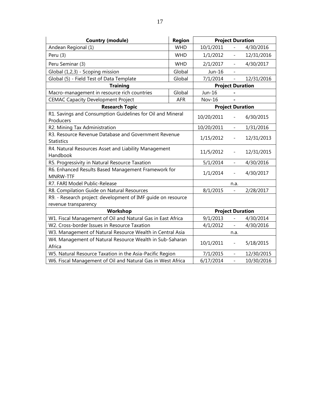| <b>Country (module)</b><br><b>Region</b>                                             |            |                          | <b>Project Duration</b>  |            |
|--------------------------------------------------------------------------------------|------------|--------------------------|--------------------------|------------|
| Andean Regional (1)                                                                  | <b>WHD</b> | 10/1/2011                | $\frac{1}{2}$            | 4/30/2016  |
| Peru (3)                                                                             | 1/1/2012   | $\overline{\phantom{0}}$ | 12/31/2016               |            |
| Peru Seminar (3)                                                                     | <b>WHD</b> | 2/1/2017                 | $\overline{\phantom{a}}$ | 4/30/2017  |
| Global (1,2,3) - Scoping mission                                                     | Global     | Jun-16                   |                          |            |
| Global (5) - Field Test of Data Template                                             | Global     | 7/1/2014                 | $\overline{\phantom{0}}$ | 12/31/2016 |
| <b>Training</b>                                                                      |            |                          | <b>Project Duration</b>  |            |
| Macro-management in resource rich countries                                          | Global     | Jun-16                   |                          |            |
| <b>CEMAC Capacity Development Project</b>                                            | <b>AFR</b> | <b>Nov-16</b>            |                          |            |
| <b>Research Topic</b>                                                                |            |                          | <b>Project Duration</b>  |            |
| R1. Savings and Consumption Guidelines for Oil and Mineral<br>Producers              |            | 10/20/2011               |                          | 6/30/2015  |
| R2. Mining Tax Administration                                                        |            | 10/20/2011               | $\overline{\phantom{0}}$ | 1/31/2016  |
| R3. Resource Revenue Database and Government Revenue<br><b>Statistics</b>            |            | 1/15/2012                | $\overline{\phantom{0}}$ | 12/31/2013 |
| R4. Natural Resources Asset and Liability Management<br>Handbook                     | 11/5/2012  |                          | 12/31/2015               |            |
| R5. Progressivity in Natural Resource Taxation                                       |            | 5/1/2014                 | $\overline{\phantom{a}}$ | 4/30/2016  |
| R6. Enhanced Results Based Management Framework for<br><b>MNRW-TTF</b>               |            | 1/1/2014                 |                          | 4/30/2017  |
| R7. FARI Model Public-Release                                                        |            |                          | n.a.                     |            |
| R8. Compilation Guide on Natural Resources                                           |            | 8/1/2015                 | $\qquad \qquad -$        | 2/28/2017  |
| R9. - Research project: development of IMF guide on resource<br>revenue transparency |            |                          |                          |            |
| Workshop                                                                             |            | <b>Project Duration</b>  |                          |            |
| W1. Fiscal Management of Oil and Natural Gas in East Africa                          | 9/1/2013   |                          | 4/30/2014                |            |
| W2. Cross-border Issues in Resource Taxation                                         | 4/1/2012   | $\overline{\phantom{a}}$ | 4/30/2016                |            |
| W3. Management of Natural Resource Wealth in Central Asia                            |            | n.a.                     |                          |            |
| W4. Management of Natural Resource Wealth in Sub-Saharan<br>Africa                   |            | 10/1/2011                |                          | 5/18/2015  |
| W5. Natural Resource Taxation in the Asia-Pacific Region                             |            | 7/1/2015                 | $\overline{\phantom{a}}$ | 12/30/2015 |
| W6. Fiscal Management of Oil and Natural Gas in West Africa                          |            | 6/17/2014                | $\overline{a}$           | 10/30/2016 |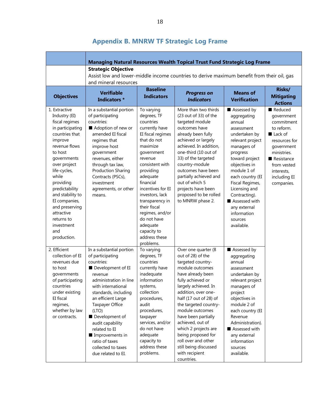|                                                                                                                                                                                                                                                                                                                                             |                                                                                                                                                                                                                                                                                                                                                                     |                                                                                                                                                                                                                                                                                                                                                                  | Managing Natural Resources Wealth Topical Trust Fund Strategic Log Frame                                                                                                                                                                                                                                                                                                                                                 |                                                                                                                                                                                                                                                                                                                        |                                                                                                                                                                                                    |  |  |  |  |
|---------------------------------------------------------------------------------------------------------------------------------------------------------------------------------------------------------------------------------------------------------------------------------------------------------------------------------------------|---------------------------------------------------------------------------------------------------------------------------------------------------------------------------------------------------------------------------------------------------------------------------------------------------------------------------------------------------------------------|------------------------------------------------------------------------------------------------------------------------------------------------------------------------------------------------------------------------------------------------------------------------------------------------------------------------------------------------------------------|--------------------------------------------------------------------------------------------------------------------------------------------------------------------------------------------------------------------------------------------------------------------------------------------------------------------------------------------------------------------------------------------------------------------------|------------------------------------------------------------------------------------------------------------------------------------------------------------------------------------------------------------------------------------------------------------------------------------------------------------------------|----------------------------------------------------------------------------------------------------------------------------------------------------------------------------------------------------|--|--|--|--|
|                                                                                                                                                                                                                                                                                                                                             | <b>Strategic Objective</b><br>Assist low and lower-middle income countries to derive maximum benefit from their oil, gas<br>and mineral resources                                                                                                                                                                                                                   |                                                                                                                                                                                                                                                                                                                                                                  |                                                                                                                                                                                                                                                                                                                                                                                                                          |                                                                                                                                                                                                                                                                                                                        |                                                                                                                                                                                                    |  |  |  |  |
| <b>Objectives</b>                                                                                                                                                                                                                                                                                                                           | <b>Verifiable</b><br><b>Indicators *</b>                                                                                                                                                                                                                                                                                                                            | <b>Baseline</b><br><b>Indicators</b>                                                                                                                                                                                                                                                                                                                             | <b>Progress on</b><br><b>Indicators</b>                                                                                                                                                                                                                                                                                                                                                                                  | <b>Means of</b><br><b>Verification</b>                                                                                                                                                                                                                                                                                 | Risks/<br><b>Mitigating</b><br><b>Actions</b>                                                                                                                                                      |  |  |  |  |
| 1. Extractive<br>Industry (EI)<br>fiscal regimes<br>in participating<br>countries that<br>improve<br>revenue flows<br>to host<br>governments<br>over project<br>life-cycles,<br>while<br>providing<br>predictability<br>and stability to<br>EI companies,<br>and preserving<br>attractive<br>returns to<br>investment<br>and<br>production. | In a substantial portion<br>of participating<br>countries:<br>Adoption of new or<br>amended EI fiscal<br>regimes that<br>improve host<br>government<br>revenues, either<br>through tax law,<br><b>Production Sharing</b><br>Contracts (PSCs),<br>investment<br>agreements, or other<br>means.                                                                       | To varying<br>degrees, TF<br>countries<br>currently have<br>EI fiscal regimes<br>that do not<br>maximize<br>government<br>revenue<br>consistent with<br>providing<br>adequate<br>financial<br>incentives for EI<br>investors, lack<br>transparency in<br>their fiscal<br>regimes, and/or<br>do not have<br>adequate<br>capacity to<br>address these<br>problems. | More than two thirds<br>(23 out of 33) of the<br>targeted module<br>outcomes have<br>already been fully<br>achieved or largely<br>achieved. In addition,<br>one-third (10 out of<br>33) of the targeted<br>country-module<br>outcomes have been<br>partially achieved and<br>out of which 5<br>projects have been<br>proposed to be rolled<br>to MNRW phase 2.                                                           | Assessed by<br>aggregating<br>annual<br>assessment<br>undertaken by<br>relevant project<br>managers of<br>progress<br>toward project<br>objectives in<br>module 1 of<br>each country (EI<br>Fiscal Regimes,<br>Licensing and<br>Contracting).<br>Assessed with<br>any external<br>information<br>sources<br>available. | Reduced<br>government<br>commitment<br>to reform.<br>$\blacksquare$ Lack of<br>resources for<br>government<br>ministries.<br>Resistance<br>from vested<br>interests,<br>including EI<br>companies. |  |  |  |  |
| 2. Efficient<br>collection of EI<br>revenues due<br>to host<br>governments<br>of participating<br>countries<br>under existing<br>EI fiscal<br>regimes,<br>whether by law<br>or contracts.                                                                                                                                                   | In a substantial portion<br>of participating<br>countries:<br>Development of EI<br>revenue<br>administration in line<br>with international<br>standards, including<br>an efficient Large<br><b>Taxpayer Office</b><br>(LTO)<br>Development of<br>audit capability<br>related to EI<br>Improvements in<br>ratio of taxes<br>collected to taxes<br>due related to EI. | To varying<br>degrees, TF<br>countries<br>currently have<br>inadequate<br>information<br>systems,<br>collection<br>procedures,<br>audit<br>procedures,<br>taxpayer<br>services, and/or<br>do not have<br>adequate<br>capacity to<br>address these<br>problems.                                                                                                   | Over one quarter (8<br>out of 28) of the<br>targeted country-<br>module outcomes<br>have already been<br>fully achieved or<br>largely achieved. In<br>addition, over one-<br>half (17 out of 28) of<br>the targeted country-<br>module outcomes<br>have been partially<br>achieved, out of<br>which 2 projects are<br>being proposed for<br>roll over and other<br>still being discussed<br>with recipient<br>countries. | Assessed by<br>aggregating<br>annual<br>assessment<br>undertaken by<br>relevant project<br>managers of<br>project<br>objectives in<br>module 2 of<br>each country (EI<br>Revenue<br>Administration).<br>Assessed with<br>any external<br>information<br>sources<br>available.                                          |                                                                                                                                                                                                    |  |  |  |  |

## **Appendix B. MNRW TF Strategic Log Frame**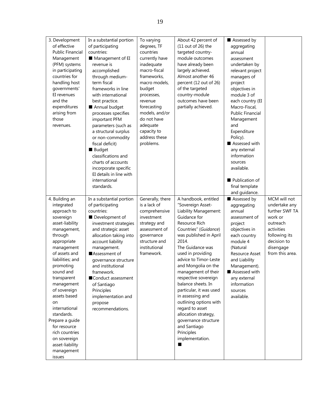| 3. Development          | In a substantial portion | To varying       | About 42 percent of     | Assessed by             |                 |
|-------------------------|--------------------------|------------------|-------------------------|-------------------------|-----------------|
| of effective            | of participating         | degrees, TF      | $(11$ out of 26) the    | aggregating             |                 |
| <b>Public Financial</b> | countries:               | countries        | targeted country-       | annual                  |                 |
| Management              | Management of EI         | currently have   | module outcomes         | assessment              |                 |
| (PFM) systems           | revenue is               | inadequate       | have already been       | undertaken by           |                 |
| in participating        | accomplished             | macro-fiscal     | largely achieved.       | relevant project        |                 |
| countries for           | through medium-          | frameworks,      | Almost another 46       | managers of             |                 |
| handling host           | term fiscal              | macro models,    | percent (12 out of 26)  | project                 |                 |
| governments'            | frameworks in line       | budget           | of the targeted         | objectives in           |                 |
| EI revenues             | with international       | processes,       | country-module          | module 3 of             |                 |
| and the                 | best practice.           | revenue          | outcomes have been      | each country (EI        |                 |
| expenditures            | Annual budget            | forecasting      | partially achieved.     | Macro-Fiscal,           |                 |
| arising from            | processes specifies      | models, and/or   |                         | <b>Public Financial</b> |                 |
| those                   | important PFM            | do not have      |                         | Management              |                 |
| revenues.               | parameters (such as      | adequate         |                         | and                     |                 |
|                         | a structural surplus     | capacity to      |                         | Expenditure             |                 |
|                         | or non-commodity         | address these    |                         | Policy).                |                 |
|                         | fiscal deficit)          | problems.        |                         | Assessed with           |                 |
|                         | Budget                   |                  |                         | any external            |                 |
|                         | classifications and      |                  |                         | information             |                 |
|                         | charts of accounts       |                  |                         | sources                 |                 |
|                         | incorporate specific     |                  |                         | available.              |                 |
|                         | EI details in line with  |                  |                         |                         |                 |
|                         | international            |                  |                         | Publication of          |                 |
|                         | standards.               |                  |                         | final template          |                 |
|                         |                          |                  |                         | and guidance.           |                 |
| 4. Building an          | In a substantial portion | Generally, there | A handbook, entitled    | Assessed by             | MCM will not    |
| integrated              | of participating         | is a lack of     | "Sovereign Asset-       | aggregating             | undertake any   |
| approach to             | countries:               | comprehensive    | Liability Management:   | annual                  | further SWF TA  |
| sovereign               | Development of           | investment       | Guidance for            | assessment of           | work or         |
| asset-liability         | investment strategies    | strategy and     | Resource Rich           | project                 | outreach        |
| management,             | and strategic asset      | assessment of    | Countries" (Guidance)   | objectives in           | activities      |
| through                 | allocation taking into   | governance       | was published in April  | each country            | following its   |
| appropriate             | account liability        | structure and    | 2014.                   | module 4                | decision to     |
| management              | management.              | institutional    | The Guidance was        | (Natural                | disengage       |
| of assets and           | Assessment of            | framework.       | used in providing       | <b>Resource Asset</b>   | from this area. |
| liabilities; and        | governance structure     |                  | advice to Timor-Leste   | and Liability           |                 |
| promoting               | and institutional        |                  | and Mongolia on the     | Management).            |                 |
| sound and               | framework.               |                  | management of their     | Assessed with           |                 |
| transparent             | Conduct assessment       |                  | respective sovereign    | any external            |                 |
| management              | of Santiago              |                  | balance sheets. In      | information             |                 |
| of sovereign            | Principles               |                  | particular, it was used | sources                 |                 |
| assets based            | implementation and       |                  | in assessing and        | available.              |                 |
| on                      | propose                  |                  | outlining options with  |                         |                 |
| international           | recommendations.         |                  | regard to asset         |                         |                 |
| standards.              |                          |                  | allocation strategy,    |                         |                 |
| Prepare a guide         |                          |                  | governance structure    |                         |                 |
| for resource            |                          |                  | and Santiago            |                         |                 |
| rich countries          |                          |                  | Principles              |                         |                 |
| on sovereign            |                          |                  | implementation.         |                         |                 |
| asset-liability         |                          |                  |                         |                         |                 |
| management              |                          |                  |                         |                         |                 |
| issues                  |                          |                  |                         |                         |                 |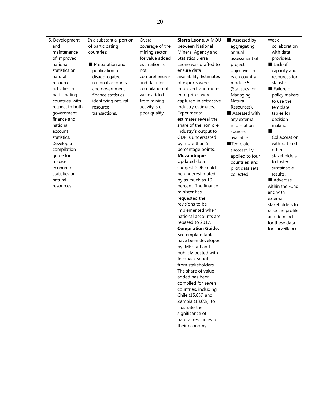| 5. Development  | In a substantial portion | Overall         | Sierra Leone. A MOU       | Assessed by     | Weak              |
|-----------------|--------------------------|-----------------|---------------------------|-----------------|-------------------|
| and             | of participating         | coverage of the | between National          | aggregating     | collaboration     |
| maintenance     | countries:               | mining sector   | Mineral Agency and        | annual          | with data         |
| of improved     |                          | for value added | <b>Statistics Sierra</b>  | assessment of   | providers.        |
| national        | Preparation and          | estimation is   | Leone was drafted to      | project         | Lack of           |
| statistics on   | publication of           | not             | ensure data               | objectives in   | capacity and      |
| natural         | disaggregated            | comprehensive   | availability. Estimates   | each country    | resources for     |
| resource        | national accounts        | and data for    | of exports were           | module 5        | statistics.       |
| activities in   | and government           | compilation of  | improved, and more        | (Statistics for | Failure of        |
| participating   | finance statistics       | value added     | enterprises were          | Managing        | policy makers     |
| countries, with | identifying natural      | from mining     | captured in extractive    | Natural         | to use the        |
| respect to both | resource                 | activity is of  | industry estimates.       | Resources).     | template          |
| government      | transactions.            | poor quality.   | Experimental              | Assessed with   | tables for        |
| finance and     |                          |                 | estimates reveal the      | any external    | decision          |
| national        |                          |                 | share of the iron ore     | information     | making.           |
| account         |                          |                 | industry's output to      | sources         |                   |
| statistics.     |                          |                 | GDP is understated        | available.      | Collaboration     |
| Develop a       |                          |                 | by more than 5            | Template        | with EITI and     |
| compilation     |                          |                 | percentage points.        | successfully    | other             |
| guide for       |                          |                 | <b>Mozambique</b>         | applied to four | stakeholders      |
| macro-          |                          |                 | Updated data              | countries, and  | to foster         |
| economic        |                          |                 | suggest GDP could         | pilot data sets | sustainable       |
| statistics on   |                          |                 | be underestimated         | collected.      | results.          |
| natural         |                          |                 | by as much as 10          |                 | Advertise         |
| resources       |                          |                 | percent. The finance      |                 | within the Fund   |
|                 |                          |                 | minister has              |                 | and with          |
|                 |                          |                 | requested the             |                 | external          |
|                 |                          |                 | revisions to be           |                 | stakeholders to   |
|                 |                          |                 | implemented when          |                 | raise the profile |
|                 |                          |                 | national accounts are     |                 | and demand        |
|                 |                          |                 | rebased to 2017.          |                 | for these data    |
|                 |                          |                 | <b>Compilation Guide.</b> |                 | for surveillance. |
|                 |                          |                 | Six template tables       |                 |                   |
|                 |                          |                 | have been developed       |                 |                   |
|                 |                          |                 | by IMF staff and          |                 |                   |
|                 |                          |                 | publicly posted with      |                 |                   |
|                 |                          |                 | feedback sought           |                 |                   |
|                 |                          |                 | from stakeholders.        |                 |                   |
|                 |                          |                 | The share of value        |                 |                   |
|                 |                          |                 | added has been            |                 |                   |
|                 |                          |                 | compiled for seven        |                 |                   |
|                 |                          |                 | countries, including      |                 |                   |
|                 |                          |                 | Chile (15.8%) and         |                 |                   |
|                 |                          |                 | Zambia (13.6%), to        |                 |                   |
|                 |                          |                 | illustrate the            |                 |                   |
|                 |                          |                 | significance of           |                 |                   |
|                 |                          |                 | natural resources to      |                 |                   |
|                 |                          |                 | their economy.            |                 |                   |